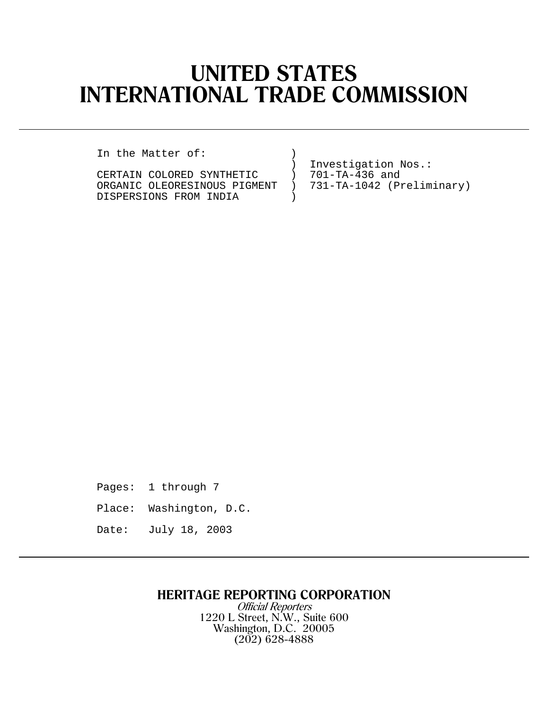# **UNITED STATES INTERNATIONAL TRADE COMMISSION**

In the Matter of: )

CERTAIN COLORED SYNTHETIC ) 701-TA-436 and<br>ORGANIC OLEORESINOUS PIGMENT ) 731-TA-1042 (Preliminary) ORGANIC OLEORESINOUS PIGMENT )<br>DISPERSIONS FROM INDIA DISPERSIONS FROM INDIA )

Investigation Nos.:<br>701-TA-436 and

Pages: 1 through 7

Place: Washington, D.C.

Date: July 18, 2003

## **HERITAGE REPORTING CORPORATION**

Official Reporters 1220 L Street, N.W., Suite 600 Washington, D.C. 20005 (202) 628-4888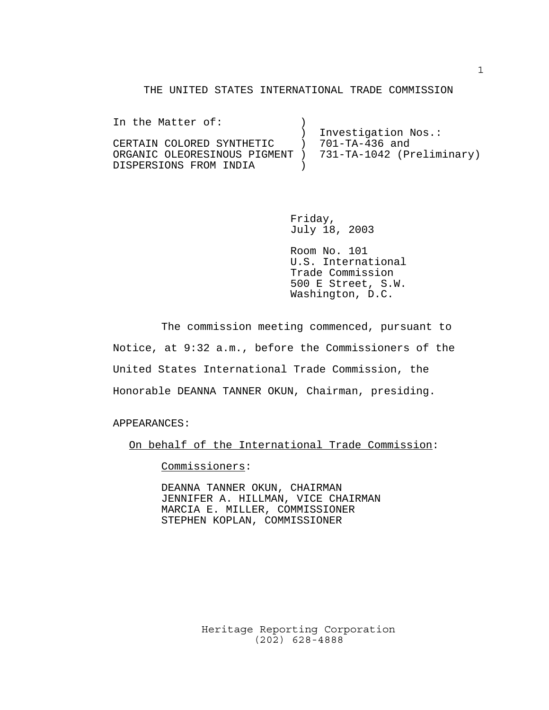#### THE UNITED STATES INTERNATIONAL TRADE COMMISSION

| In the Matter of:                                        |                     |
|----------------------------------------------------------|---------------------|
|                                                          | Investigation Nos.: |
| CERTAIN COLORED SYNTHETIC                                | 701-TA-436 and      |
| ORGANIC OLEORESINOUS PIGMENT ) 731-TA-1042 (Preliminary) |                     |
| DISPERSIONS FROM INDIA                                   |                     |

Friday, July 18, 2003

Room No. 101 U.S. International Trade Commission 500 E Street, S.W. Washington, D.C.

The commission meeting commenced, pursuant to Notice, at 9:32 a.m., before the Commissioners of the United States International Trade Commission, the Honorable DEANNA TANNER OKUN, Chairman, presiding.

APPEARANCES:

On behalf of the International Trade Commission:

Commissioners:

DEANNA TANNER OKUN, CHAIRMAN JENNIFER A. HILLMAN, VICE CHAIRMAN MARCIA E. MILLER, COMMISSIONER STEPHEN KOPLAN, COMMISSIONER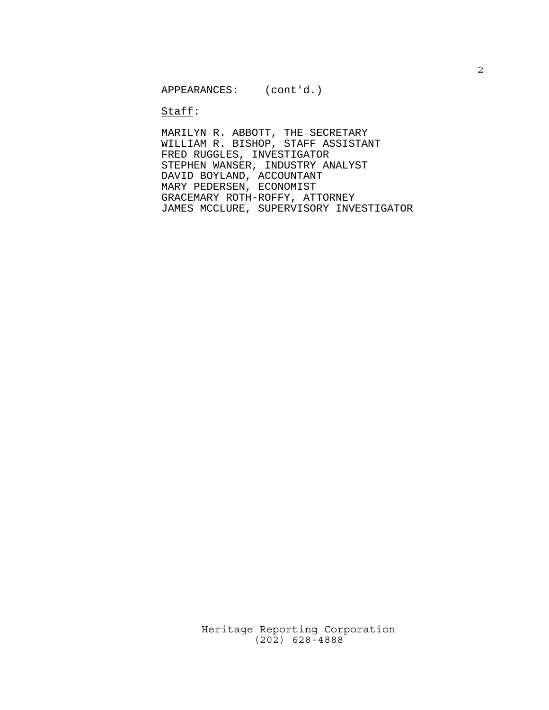$\texttt{Staff}:$ 

MARILYN R. ABBOTT, THE SECRETARY WILLIAM R. BISHOP, STAFF ASSISTANT FRED RUGGLES, INVESTIGATOR STEPHEN WANSER, INDUSTRY ANALYST DAVID BOYLAND, ACCOUNTANT MARY PEDERSEN, ECONOMIST GRACEMARY ROTH-ROFFY, ATTORNEY JAMES MCCLURE, SUPERVISORY INVESTIGATOR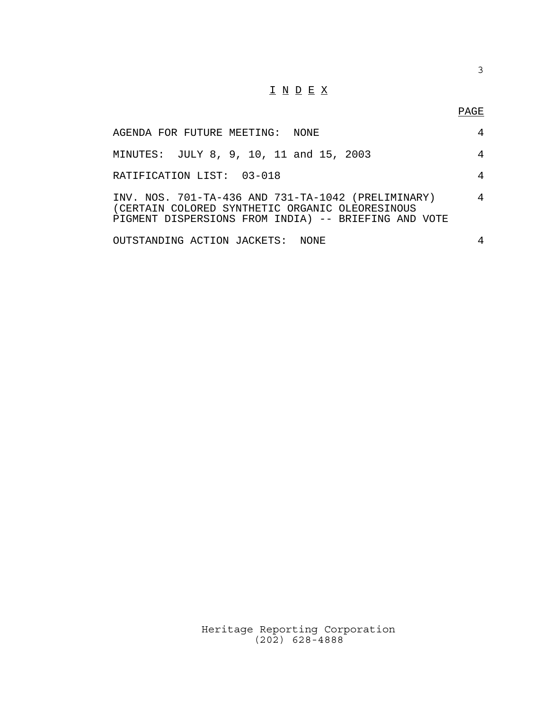## $\underline{\texttt{I}} \ \underline{\texttt{N}} \ \underline{\texttt{D}} \ \underline{\texttt{E}} \ \underline{\texttt{X}}$

PAGE

3

| AGENDA FOR FUTURE MEETING:  NONE                                                                                                                              | 4 |
|---------------------------------------------------------------------------------------------------------------------------------------------------------------|---|
| MINUTES: JULY 8, 9, 10, 11 and 15, 2003                                                                                                                       | 4 |
| RATIFICATION LIST: 03-018                                                                                                                                     | 4 |
| INV. NOS. 701-TA-436 AND 731-TA-1042 (PRELIMINARY)<br>(CERTAIN COLORED SYNTHETIC ORGANIC OLEORESINOUS<br>PIGMENT DISPERSIONS FROM INDIA) -- BRIEFING AND VOTE | 4 |
| OUTSTANDING ACTION JACKETS: NONE                                                                                                                              | 4 |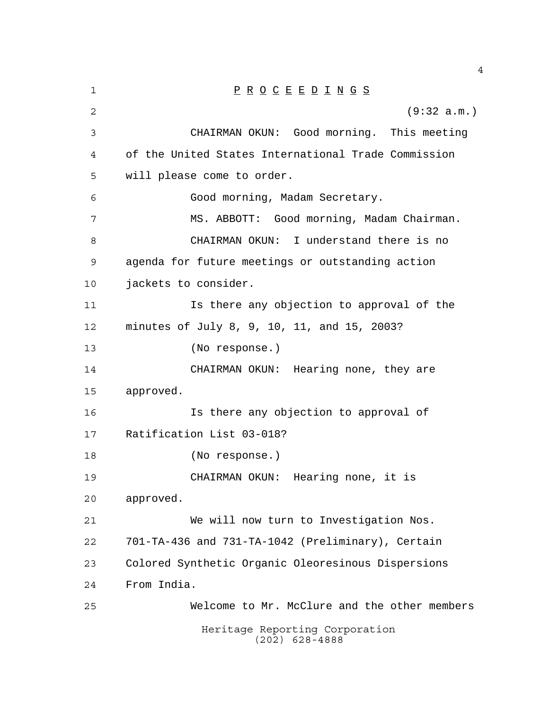| 1              | $\underline{P} \underline{R} \underline{O} \underline{C} \underline{E} \underline{E} \underline{D} \underline{I} \underline{N} \underline{G} \underline{S}$ |
|----------------|-------------------------------------------------------------------------------------------------------------------------------------------------------------|
| $\overline{c}$ | (9:32 a.m.)                                                                                                                                                 |
| 3              | CHAIRMAN OKUN: Good morning. This meeting                                                                                                                   |
| 4              | of the United States International Trade Commission                                                                                                         |
| 5              | will please come to order.                                                                                                                                  |
| 6              | Good morning, Madam Secretary.                                                                                                                              |
| 7              | MS. ABBOTT: Good morning, Madam Chairman.                                                                                                                   |
| 8              | I understand there is no<br>CHAIRMAN OKUN:                                                                                                                  |
| 9              | agenda for future meetings or outstanding action                                                                                                            |
| 10             | jackets to consider.                                                                                                                                        |
| 11             | Is there any objection to approval of the                                                                                                                   |
| 12             | minutes of July 8, 9, 10, 11, and 15, 2003?                                                                                                                 |
| 13             | (No response.)                                                                                                                                              |
| 14             | CHAIRMAN OKUN: Hearing none, they are                                                                                                                       |
| 15             | approved.                                                                                                                                                   |
| 16             | Is there any objection to approval of                                                                                                                       |
| 17             | Ratification List 03-018?                                                                                                                                   |
| 18             | (No response.)                                                                                                                                              |
| 19             | Hearing none, it is<br>CHAIRMAN OKUN:                                                                                                                       |
| 20             | approved.                                                                                                                                                   |
| 21             | We will now turn to Investigation Nos.                                                                                                                      |
| 22             | 701-TA-436 and 731-TA-1042 (Preliminary), Certain                                                                                                           |
| 23             | Colored Synthetic Organic Oleoresinous Dispersions                                                                                                          |
| 24             | From India.                                                                                                                                                 |
| 25             | Welcome to Mr. McClure and the other members                                                                                                                |
|                | Heritage Reporting Corporation<br>$(202)$ 628-4888                                                                                                          |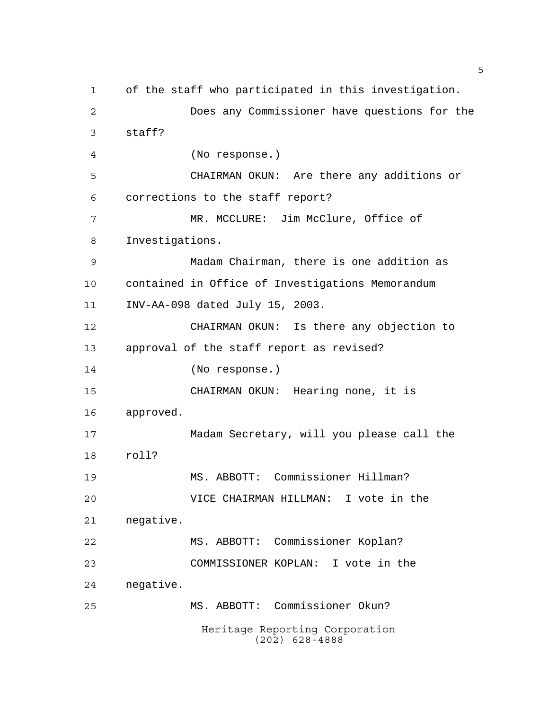Heritage Reporting Corporation (202) 628-4888 of the staff who participated in this investigation. Does any Commissioner have questions for the staff? (No response.) CHAIRMAN OKUN: Are there any additions or corrections to the staff report? MR. MCCLURE: Jim McClure, Office of Investigations. Madam Chairman, there is one addition as contained in Office of Investigations Memorandum INV-AA-098 dated July 15, 2003. CHAIRMAN OKUN: Is there any objection to approval of the staff report as revised? (No response.) CHAIRMAN OKUN: Hearing none, it is approved. Madam Secretary, will you please call the roll? MS. ABBOTT: Commissioner Hillman? VICE CHAIRMAN HILLMAN: I vote in the negative. MS. ABBOTT: Commissioner Koplan? COMMISSIONER KOPLAN: I vote in the negative. MS. ABBOTT: Commissioner Okun?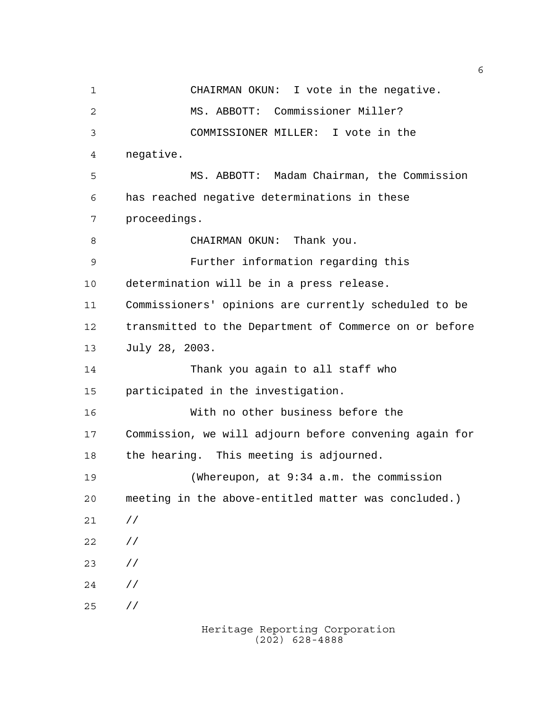CHAIRMAN OKUN: I vote in the negative. MS. ABBOTT: Commissioner Miller? COMMISSIONER MILLER: I vote in the negative. MS. ABBOTT: Madam Chairman, the Commission has reached negative determinations in these proceedings. 8 CHAIRMAN OKUN: Thank you. Further information regarding this determination will be in a press release. Commissioners' opinions are currently scheduled to be transmitted to the Department of Commerce on or before July 28, 2003. Thank you again to all staff who participated in the investigation. With no other business before the Commission, we will adjourn before convening again for the hearing. This meeting is adjourned. (Whereupon, at 9:34 a.m. the commission meeting in the above-entitled matter was concluded.) // // // // //